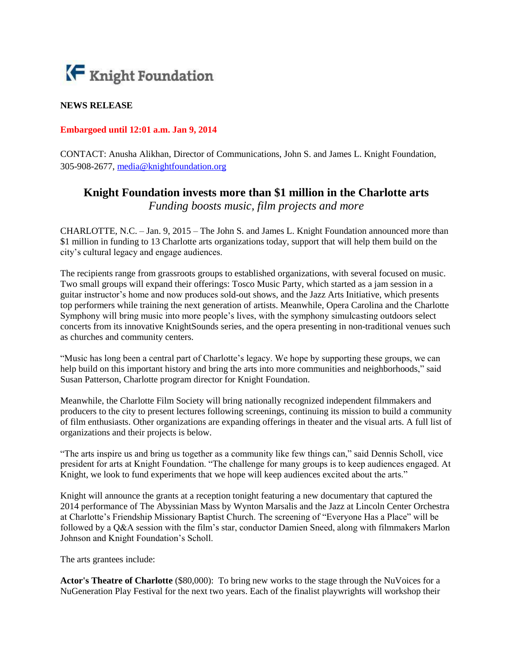

## **NEWS RELEASE**

## **Embargoed until 12:01 a.m. Jan 9, 2014**

CONTACT: Anusha Alikhan, Director of Communications, John S. and James L. Knight Foundation, 305-908-2677, [media@knightfoundation.org](mailto:media@knightfoundation.org)

## **Knight Foundation invests more than \$1 million in the Charlotte arts** *Funding boosts music, film projects and more*

CHARLOTTE, N.C. – Jan. 9, 2015 – The John S. and James L. Knight Foundation announced more than \$1 million in funding to 13 Charlotte arts organizations today, support that will help them build on the city's cultural legacy and engage audiences.

The recipients range from grassroots groups to established organizations, with several focused on music. Two small groups will expand their offerings: Tosco Music Party, which started as a jam session in a guitar instructor's home and now produces sold-out shows, and the Jazz Arts Initiative, which presents top performers while training the next generation of artists. Meanwhile, Opera Carolina and the Charlotte Symphony will bring music into more people's lives, with the symphony simulcasting outdoors select concerts from its innovative KnightSounds series, and the opera presenting in non-traditional venues such as churches and community centers.

"Music has long been a central part of Charlotte's legacy. We hope by supporting these groups, we can help build on this important history and bring the arts into more communities and neighborhoods," said Susan Patterson, Charlotte program director for Knight Foundation.

Meanwhile, the Charlotte Film Society will bring nationally recognized independent filmmakers and producers to the city to present lectures following screenings, continuing its mission to build a community of film enthusiasts. Other organizations are expanding offerings in theater and the visual arts. A full list of organizations and their projects is below.

"The arts inspire us and bring us together as a community like few things can," said Dennis Scholl, vice president for arts at Knight Foundation. "The challenge for many groups is to keep audiences engaged. At Knight, we look to fund experiments that we hope will keep audiences excited about the arts."

Knight will announce the grants at a reception tonight featuring a new documentary that captured the 2014 performance of The Abyssinian Mass by Wynton Marsalis and the Jazz at Lincoln Center Orchestra at Charlotte's Friendship Missionary Baptist Church. The screening of "Everyone Has a Place" will be followed by a Q&A session with the film's star, conductor Damien Sneed, along with filmmakers Marlon Johnson and Knight Foundation's Scholl.

The arts grantees include:

**Actor's Theatre of Charlotte** (\$80,000): To bring new works to the stage through the NuVoices for a NuGeneration Play Festival for the next two years. Each of the finalist playwrights will workshop their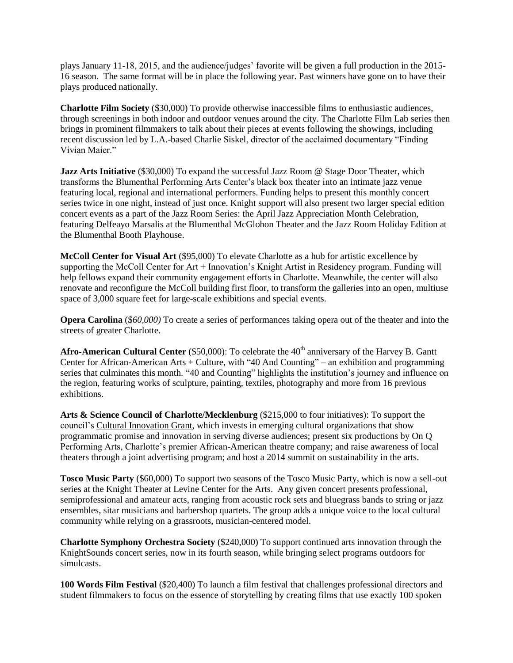plays January 11-18, 2015, and the audience/judges' favorite will be given a full production in the 2015- 16 season. The same format will be in place the following year. Past winners have gone on to have their plays produced nationally.

**Charlotte Film Society** (\$30,000) To provide otherwise inaccessible films to enthusiastic audiences, through screenings in both indoor and outdoor venues around the city. The Charlotte Film Lab series then brings in prominent filmmakers to talk about their pieces at events following the showings, including recent discussion led by L.A.-based Charlie Siskel, director of the acclaimed documentary "Finding Vivian Maier."

**Jazz Arts Initiative** (\$30,000) To expand the successful Jazz Room @ Stage Door Theater, which transforms the Blumenthal Performing Arts Center's black box theater into an intimate jazz venue featuring local, regional and international performers. Funding helps to present this monthly concert series twice in one night, instead of just once. Knight support will also present two larger special edition concert events as a part of the Jazz Room Series: the April Jazz Appreciation Month Celebration, featuring Delfeayo Marsalis at the Blumenthal McGlohon Theater and the Jazz Room Holiday Edition at the Blumenthal Booth Playhouse.

**McColl Center for Visual Art** (\$95,000) To elevate Charlotte as a hub for artistic excellence by supporting the McColl Center for Art + Innovation's Knight Artist in Residency program. Funding will help fellows expand their community engagement efforts in Charlotte. Meanwhile, the center will also renovate and reconfigure the McColl building first floor, to transform the galleries into an open, multiuse space of 3,000 square feet for large-scale exhibitions and special events.

**Opera Carolina** (\$*60,000)* To create a series of performances taking opera out of the theater and into the streets of greater Charlotte.

Afro-American Cultural Center (\$50,000): To celebrate the 40<sup>th</sup> anniversary of the Harvey B. Gantt Center for African-American Arts + Culture, with "40 And Counting" – an exhibition and programming series that culminates this month. "40 and Counting" highlights the institution's journey and influence on the region, featuring works of sculpture, painting, textiles, photography and more from 16 previous exhibitions.

**Arts & Science Council of Charlotte/Mecklenburg** (\$215,000 to four initiatives): To support the council's [Cultural Innovation Grant,](http://www.artsandscience.org/news-a-media/365-arts-a-science-council-names-cultural-innovation-grant-recipients) which invests in emerging cultural organizations that show programmatic promise and innovation in serving diverse audiences; present six productions by On Q Performing Arts, Charlotte's premier African-American theatre company; and raise awareness of local theaters through a joint advertising program; and host a 2014 summit on sustainability in the arts.

**Tosco Music Party** (\$60,000) To support two seasons of the Tosco Music Party, which is now a sell-out series at the Knight Theater at Levine Center for the Arts. Any given concert presents professional, semiprofessional and amateur acts, ranging from acoustic rock sets and bluegrass bands to string or jazz ensembles, sitar musicians and barbershop quartets. The group adds a unique voice to the local cultural community while relying on a grassroots, musician-centered model.

**Charlotte Symphony Orchestra Society** (\$240,000) To support continued arts innovation through the KnightSounds concert series, now in its fourth season, while bringing select programs outdoors for simulcasts.

**100 Words Film Festival** (\$20,400) To launch a film festival that challenges professional directors and student filmmakers to focus on the essence of storytelling by creating films that use exactly 100 spoken